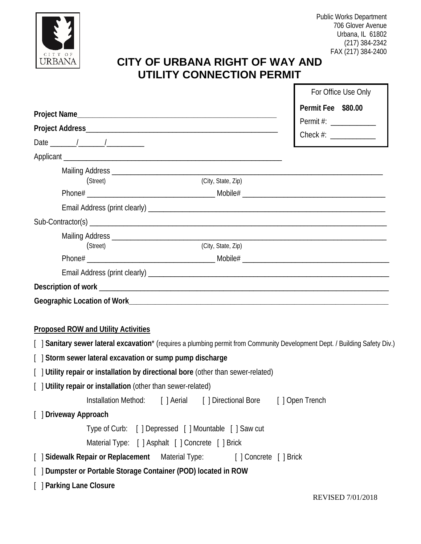

## **CITY OF URBANA RIGHT OF WAY AND UTILITY CONNECTION PERMIT**

|                                                                                                                             | For Office Use Only      |
|-----------------------------------------------------------------------------------------------------------------------------|--------------------------|
|                                                                                                                             | Permit Fee \$80.00       |
|                                                                                                                             | Permit #: ______________ |
|                                                                                                                             | Check #: _____________   |
|                                                                                                                             |                          |
|                                                                                                                             |                          |
|                                                                                                                             |                          |
| (City, State, Zip)<br>(Street)                                                                                              |                          |
|                                                                                                                             |                          |
|                                                                                                                             |                          |
|                                                                                                                             |                          |
|                                                                                                                             |                          |
| (City, State, Zip)<br>(Street)                                                                                              |                          |
|                                                                                                                             |                          |
|                                                                                                                             |                          |
|                                                                                                                             |                          |
|                                                                                                                             |                          |
|                                                                                                                             |                          |
| <b>Proposed ROW and Utility Activities</b>                                                                                  |                          |
| [ ] Sanitary sewer lateral excavation* (requires a plumbing permit from Community Development Dept. / Building Safety Div.) |                          |
| [ ] Storm sewer lateral excavation or sump pump discharge                                                                   |                          |
| [ ] Utility repair or installation by directional bore (other than sewer-related)                                           |                          |
| [ ] Utility repair or installation (other than sewer-related)                                                               |                          |
| Installation Method: [ ] Aerial [ ] Directional Bore [ ] Open Trench                                                        |                          |
| [ ] Driveway Approach                                                                                                       |                          |
| Type of Curb: [ ] Depressed [ ] Mountable [ ] Saw cut                                                                       |                          |
| Material Type: [ ] Asphalt [ ] Concrete [ ] Brick                                                                           |                          |
| [ Sidewalk Repair or Replacement Material Type:<br>[] Concrete [] Brick                                                     |                          |
| [ ] Dumpster or Portable Storage Container (POD) located in ROW                                                             |                          |
| [ ] Parking Lane Closure                                                                                                    |                          |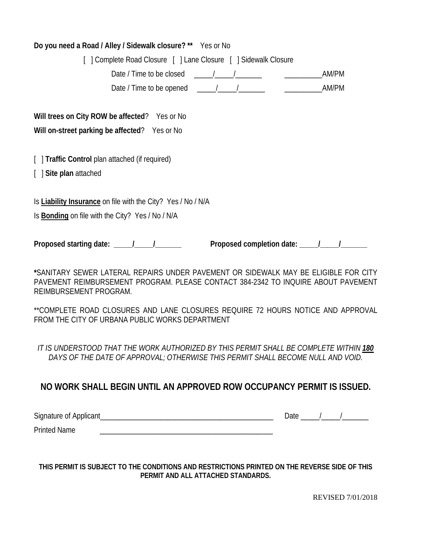| Do you need a Road / Alley / Sidewalk closure? ** Yes or No                                                                                                                                        |
|----------------------------------------------------------------------------------------------------------------------------------------------------------------------------------------------------|
| [] Complete Road Closure [] Lane Closure [] Sidewalk Closure                                                                                                                                       |
| Date / Time to be closed $\frac{1}{2}$ $\frac{1}{2}$ $\frac{1}{2}$ $\frac{1}{2}$<br>AM/PM                                                                                                          |
|                                                                                                                                                                                                    |
| Will trees on City ROW be affected? Yes or No<br>Will on-street parking be affected? Yes or No                                                                                                     |
| [ ] Traffic Control plan attached (if required)<br>[ ] Site plan attached                                                                                                                          |
| Is Liability Insurance on file with the City? Yes / No / N/A<br>Is <b>Bonding</b> on file with the City? Yes / No / N/A                                                                            |
|                                                                                                                                                                                                    |
| *SANITARY SEWER LATERAL REPAIRS UNDER PAVEMENT OR SIDEWALK MAY BE ELIGIBLE FOR CITY<br>PAVEMENT REIMBURSEMENT PROGRAM. PLEASE CONTACT 384-2342 TO INQUIRE ABOUT PAVEMENT<br>REIMBURSEMENT PROGRAM. |
| **COMPLETE ROAD CLOSURES AND LANE CLOSURES REQUIRE 72 HOURS NOTICE AND APPROVAL<br>FROM THE CITY OF URBANA PUBLIC WORKS DEPARTMENT                                                                 |

*IT IS UNDERSTOOD THAT THE WORK AUTHORIZED BY THIS PERMIT SHALL BE COMPLETE WITHIN 180 DAYS OF THE DATE OF APPROVAL; OTHERWISE THIS PERMIT SHALL BECOME NULL AND VOID.*

## **NO WORK SHALL BEGIN UNTIL AN APPROVED ROW OCCUPANCY PERMIT IS ISSUED.**

| Signature of Applicant |  |  |
|------------------------|--|--|
|------------------------|--|--|

Printed Name

**THIS PERMIT IS SUBJECT TO THE CONDITIONS AND RESTRICTIONS PRINTED ON THE REVERSE SIDE OF THIS PERMIT AND ALL ATTACHED STANDARDS.**

REVISED 7/01/2018